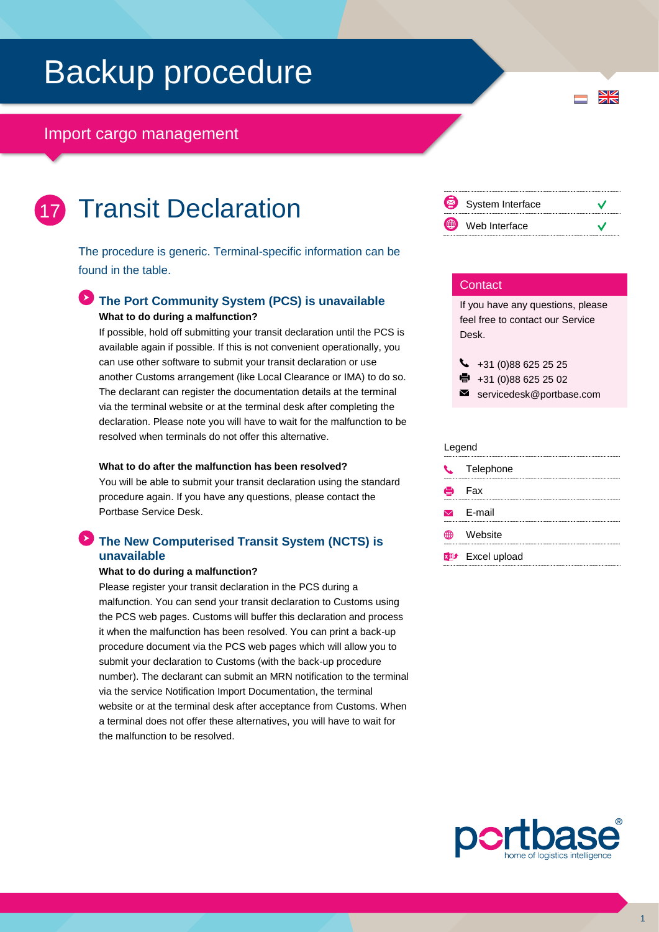# Backup procedure

### Import cargo management

| and the state of the state of the state of the state of the state of the state of the state of the state of th |                        |
|----------------------------------------------------------------------------------------------------------------|------------------------|
|                                                                                                                |                        |
|                                                                                                                |                        |
| <b>Service Service</b>                                                                                         | <b>Service Service</b> |

## Transit Declaration

The procedure is generic. Terminal-specific information can be found in the table.

### **The Port Community System (PCS) is unavailable What to do during a malfunction?**

If possible, hold off submitting your transit declaration until the PCS is available again if possible. If this is not convenient operationally, you can use other software to submit your transit declaration or use another Customs arrangement (like Local Clearance or IMA) to do so. The declarant can register the documentation details at the terminal via the terminal website or at the terminal desk after completing the declaration. Please note you will have to wait for the malfunction to be resolved when terminals do not offer this alternative.

#### **What to do after the malfunction has been resolved?**

You will be able to submit your transit declaration using the standard procedure again. If you have any questions, please contact the Portbase Service Desk.

### **The New Computerised Transit System (NCTS) is unavailable**

#### **What to do during a malfunction?**

Please register your transit declaration in the PCS during a malfunction. You can send your transit declaration to Customs using the PCS web pages. Customs will buffer this declaration and process it when the malfunction has been resolved. You can print a back-up procedure document via the PCS web pages which will allow you to submit your declaration to Customs (with the back-up procedure number). The declarant can submit an MRN notification to the terminal via the service Notification Import Documentation, the terminal website or at the terminal desk after acceptance from Customs. When a terminal does not offer these alternatives, you will have to wait for the malfunction to be resolved.



 $\frac{N}{Z}$ 

#### **Contact**

If you have any questions, please feel free to contact our Service Desk.

 $\bigcup$  +31 (0)88 625 25 25

 $\bullet$  +31 (0)88 625 25 02

servicedesk@portbase.com

#### Legend

| C Telephone                         |
|-------------------------------------|
| Hell Fax                            |
| $\triangleright$ E-mail             |
| <b>≞ Website</b>                    |
| <b>x</b> <sup>p+</sup> Excel upload |
|                                     |

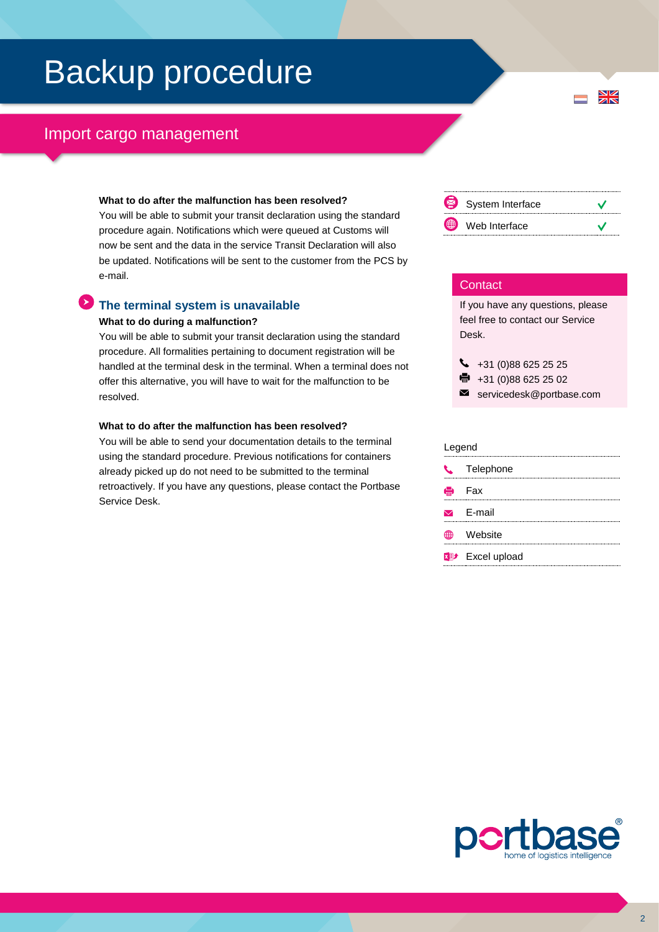# Backup procedure

### Import cargo management

#### **What to do after the malfunction has been resolved?**

You will be able to submit your transit declaration using the standard procedure again. Notifications which were queued at Customs will now be sent and the data in the service Transit Declaration will also be updated. Notifications will be sent to the customer from the PCS by e-mail.

### **The terminal system is unavailable What to do during a malfunction?**

You will be able to submit your transit declaration using the standard procedure. All formalities pertaining to document registration will be handled at the terminal desk in the terminal. When a terminal does not offer this alternative, you will have to wait for the malfunction to be resolved.

#### **What to do after the malfunction has been resolved?**

You will be able to send your documentation details to the terminal using the standard procedure. Previous notifications for containers already picked up do not need to be submitted to the terminal retroactively. If you have any questions, please contact the Portbase Service Desk.



 $\frac{N}{N}$ 

#### **Contact**

If you have any questions, please feel free to contact our Service Desk.

 $\leftarrow$  +31 (0)88 625 25 25 ● +31 (0)88 625 25 02

servicedesk@portbase.com

#### Legend

| $\mathbf{r}$ | Telephone               |
|--------------|-------------------------|
| e            | Fax                     |
|              | $\triangleright$ F-mail |
| ∰            | Website                 |
|              | <b>xD</b> Excel upload  |
|              |                         |



2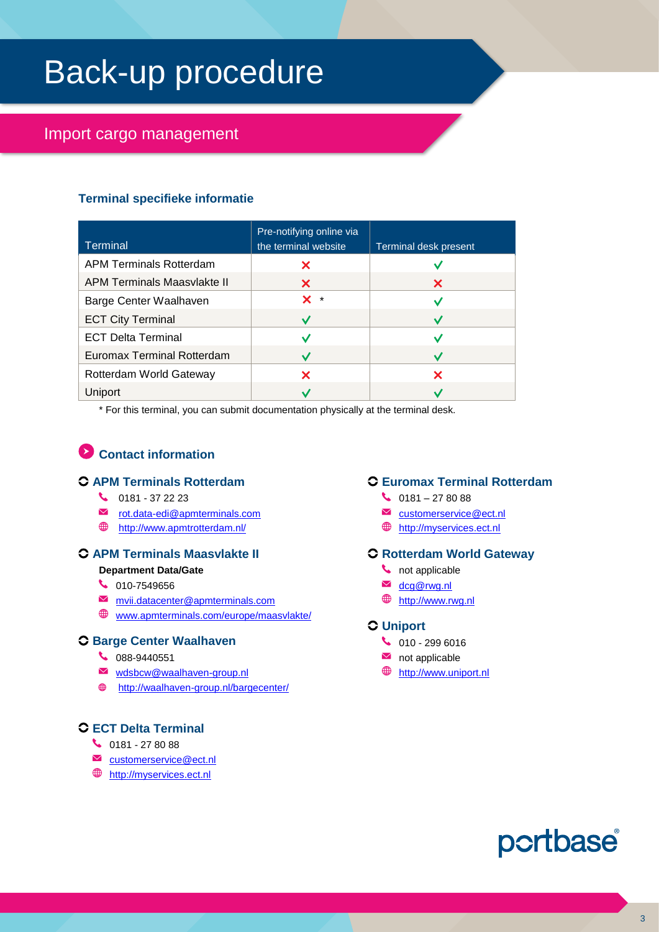# Back-up procedure

## Import cargo management

### **Terminal specifieke informatie**

| <b>Terminal</b>                    | Pre-notifying online via<br>the terminal website | Terminal desk present |
|------------------------------------|--------------------------------------------------|-----------------------|
| <b>APM Terminals Rotterdam</b>     | ×                                                |                       |
| <b>APM Terminals Maasvlakte II</b> | X.                                               | X                     |
| Barge Center Waalhaven             | X.<br>$\star$                                    |                       |
| <b>ECT City Terminal</b>           | $\overline{\mathbf{v}}$                          |                       |
| <b>ECT Delta Terminal</b>          |                                                  |                       |
| <b>Euromax Terminal Rotterdam</b>  |                                                  |                       |
| Rotterdam World Gateway            | ×                                                | x                     |
| Uniport                            |                                                  |                       |

\* For this terminal, you can submit documentation physically at the terminal desk.

## **Contact information**

#### **APM Terminals Rotterdam**

- $\binom{1}{3}$  0181 37 22 23
- [rot.data-edi@apmterminals.com](mailto:rot.data-edi@apmterminals.com)
- <http://www.apmtrotterdam.nl/>

### **APM Terminals Maasvlakte II**

#### **Department Data/Gate**

- $\begin{array}{c} \big\downarrow \ \end{array}$  010-7549656
- [mvii.datacenter@apmterminals.com](mailto:mvii.datacenter@apmterminals.com)
- $\bigoplus$  [www.apmterminals.com/europe/maasvlakte/](http://www.apmterminals.com/europe/maasvlakte/)

#### **Barge Center Waalhaven**

- 088-9440551
- [wdsbcw@waalhaven-group.nl](mailto:wdsbcw@waalhaven-group.nl)
- <http://waalhaven-group.nl/bargecenter/>

### **ECT Delta Terminal**

#### $\begin{array}{@{}c@{\hspace{1em}}c@{\hspace{1em}}l} \mathbf{0} & 0 & 0 & 0 & 0 & 0 \\ \mathbf{0} & 0 & 0 & 0 & 0 & 0 & 0 \\ \mathbf{0} & 0 & 0 & 0 & 0 & 0 & 0 \\ \mathbf{0} & 0 & 0 & 0 & 0 & 0 & 0 \\ \mathbf{0} & 0 & 0 & 0 & 0 & 0 & 0 \\ \hline \end{array}$

- $✓$  customerservice @ect.nl
- **<sup>●</sup>** [http://myservices.ect.nl](http://myservices.ect.nl/)

#### **Euromax Terminal Rotterdam**

- $\begin{array}{c} \big\downarrow \ \end{array}$  0181 27 80 88
- [customerservice@ect.nl](mailto:customerservice@ect.nl)
- **<sup>●</sup>** [http://myservices.ect.nl](http://myservices.ect.nl/)

### **Rotterdam World Gateway**

- **t** not applicable
- **M** dcg@rwg.nl
- **<sup>●</sup>** [http://www.rwg.nl](http://www.rwg.nl/)

#### **Uniport**

- $\begin{array}{c} \big\downarrow \ \end{array}$  010 299 6016
- $\blacksquare$  not applicable
- [http://www.uniport.nl](http://www.uniport.nl/)

## portbase®